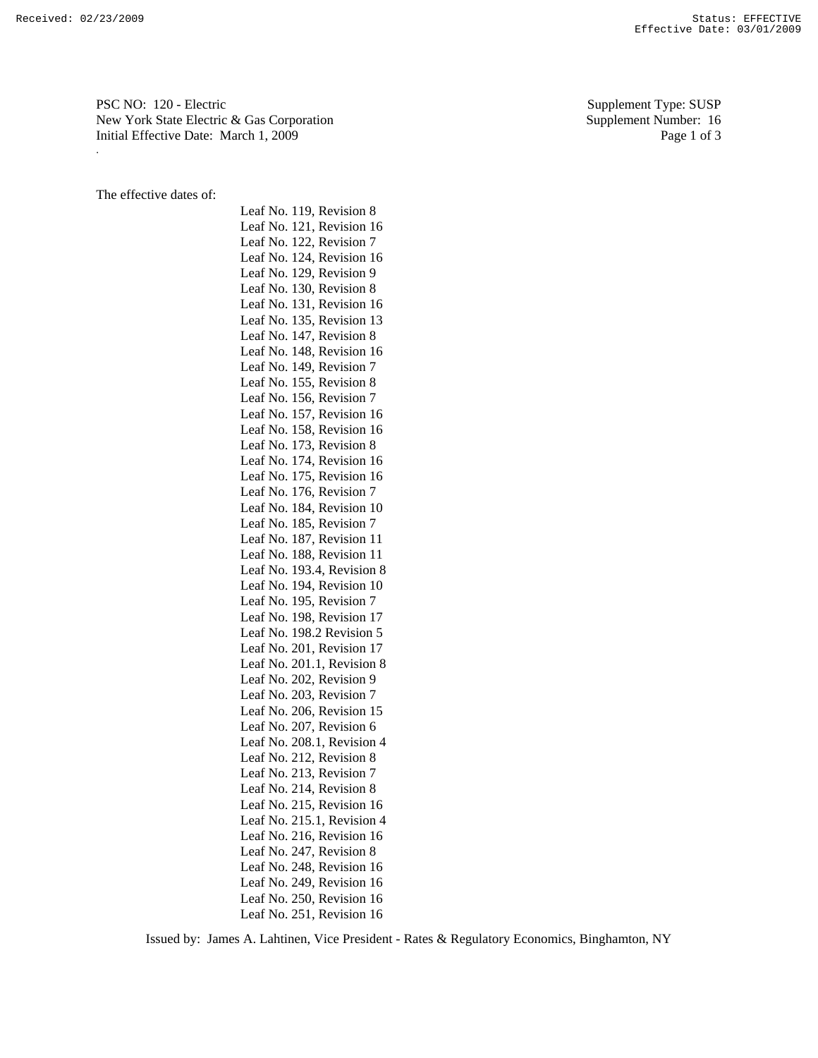PSC NO: 120 - Electric Supplement Type: SUSP New York State Electric & Gas Corporation Supplement Number: 16 Initial Effective Date: March 1, 2009 Page 1 of 3 .

The effective dates of:

Leaf No. 119, Revision 8 Leaf No. 121, Revision 16 Leaf No. 122, Revision 7 Leaf No. 124, Revision 16 Leaf No. 129, Revision 9 Leaf No. 130, Revision 8 Leaf No. 131, Revision 16 Leaf No. 135, Revision 13 Leaf No. 147, Revision 8 Leaf No. 148, Revision 16 Leaf No. 149, Revision 7 Leaf No. 155, Revision 8 Leaf No. 156, Revision 7 Leaf No. 157, Revision 16 Leaf No. 158, Revision 16 Leaf No. 173, Revision 8 Leaf No. 174, Revision 16 Leaf No. 175, Revision 16 Leaf No. 176, Revision 7 Leaf No. 184, Revision 10 Leaf No. 185, Revision 7 Leaf No. 187, Revision 11 Leaf No. 188, Revision 11 Leaf No. 193.4, Revision 8 Leaf No. 194, Revision 10 Leaf No. 195, Revision 7 Leaf No. 198, Revision 17 Leaf No. 198.2 Revision 5 Leaf No. 201, Revision 17 Leaf No. 201.1, Revision 8 Leaf No. 202, Revision 9 Leaf No. 203, Revision 7 Leaf No. 206, Revision 15 Leaf No. 207, Revision 6 Leaf No. 208.1, Revision 4 Leaf No. 212, Revision 8 Leaf No. 213, Revision 7 Leaf No. 214, Revision 8 Leaf No. 215, Revision 16 Leaf No. 215.1, Revision 4 Leaf No. 216, Revision 16 Leaf No. 247, Revision 8 Leaf No. 248, Revision 16 Leaf No. 249, Revision 16 Leaf No. 250, Revision 16 Leaf No. 251, Revision 16

Issued by: James A. Lahtinen, Vice President - Rates & Regulatory Economics, Binghamton, NY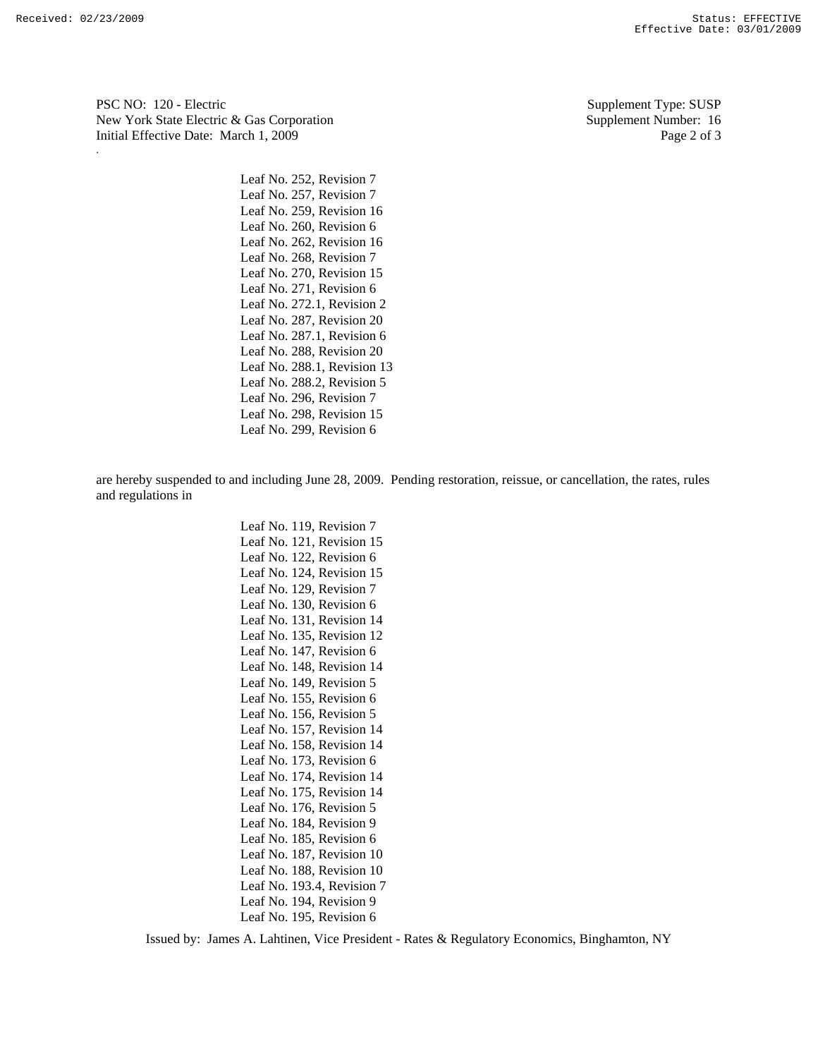PSC NO: 120 - Electric Supplement Type: SUSP New York State Electric & Gas Corporation Supplement Number: 16 Initial Effective Date: March 1, 2009 Page 2 of 3 .

> Leaf No. 252, Revision 7 Leaf No. 257, Revision 7 Leaf No. 259, Revision 16 Leaf No. 260, Revision 6 Leaf No. 262, Revision 16 Leaf No. 268, Revision 7 Leaf No. 270, Revision 15 Leaf No. 271, Revision 6 Leaf No. 272.1, Revision 2 Leaf No. 287, Revision 20 Leaf No. 287.1, Revision 6 Leaf No. 288, Revision 20 Leaf No. 288.1, Revision 13 Leaf No. 288.2, Revision 5 Leaf No. 296, Revision 7 Leaf No. 298, Revision 15 Leaf No. 299, Revision 6

are hereby suspended to and including June 28, 2009. Pending restoration, reissue, or cancellation, the rates, rules and regulations in

> Leaf No. 119, Revision 7 Leaf No. 121, Revision 15 Leaf No. 122, Revision 6 Leaf No. 124, Revision 15 Leaf No. 129, Revision 7 Leaf No. 130, Revision 6 Leaf No. 131, Revision 14 Leaf No. 135, Revision 12 Leaf No. 147, Revision 6 Leaf No. 148, Revision 14 Leaf No. 149, Revision 5 Leaf No. 155, Revision 6 Leaf No. 156, Revision 5 Leaf No. 157, Revision 14 Leaf No. 158, Revision 14 Leaf No. 173, Revision 6 Leaf No. 174, Revision 14 Leaf No. 175, Revision 14 Leaf No. 176, Revision 5 Leaf No. 184, Revision 9 Leaf No. 185, Revision 6 Leaf No. 187, Revision 10 Leaf No. 188, Revision 10 Leaf No. 193.4, Revision 7 Leaf No. 194, Revision 9 Leaf No. 195, Revision 6

Issued by: James A. Lahtinen, Vice President - Rates & Regulatory Economics, Binghamton, NY